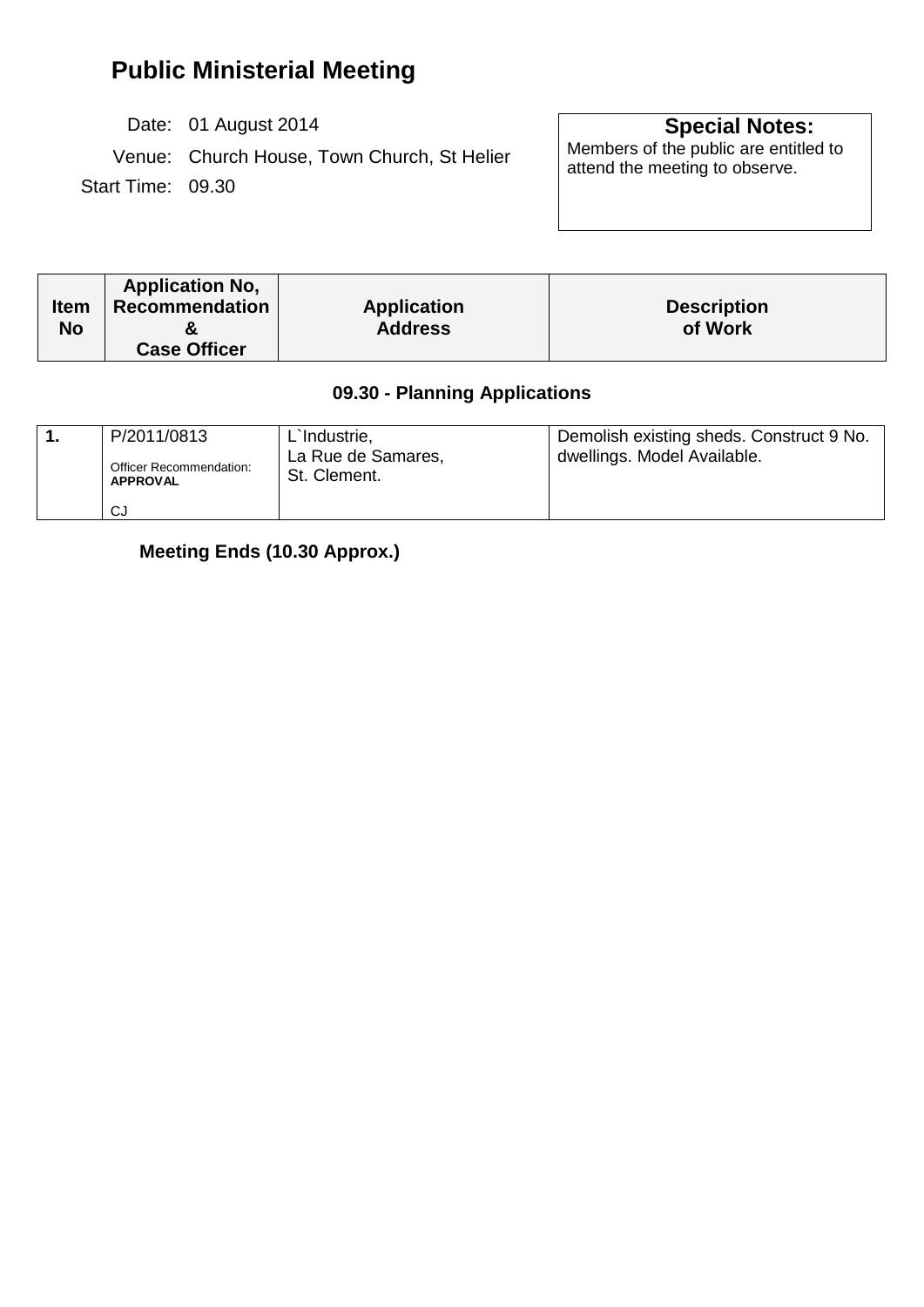# **Public Ministerial Meeting**

Date: 01 August 2014 **Special Notes:** 

Venue: Church House, Town Church, St Helier Start Time: 09.30

Members of the public are entitled to<br>attend the meeting to observe.

| <b>Item</b><br>No | <b>Application No.</b><br>Recommendation<br><b>Case Officer</b> | <b>Application</b><br><b>Address</b> | <b>Description</b><br>of Work |
|-------------------|-----------------------------------------------------------------|--------------------------------------|-------------------------------|
|-------------------|-----------------------------------------------------------------|--------------------------------------|-------------------------------|

## **09.30 - Planning Applications**

| P/2011/0813                                       | L'Industrie,                       | Demolish existing sheds. Construct 9 No. |
|---------------------------------------------------|------------------------------------|------------------------------------------|
| <b>Officer Recommendation:</b><br><b>APPROVAL</b> | La Rue de Samares,<br>St. Clement. | dwellings. Model Available.              |
| CJ                                                |                                    |                                          |

**Meeting Ends (10.30 Approx.)**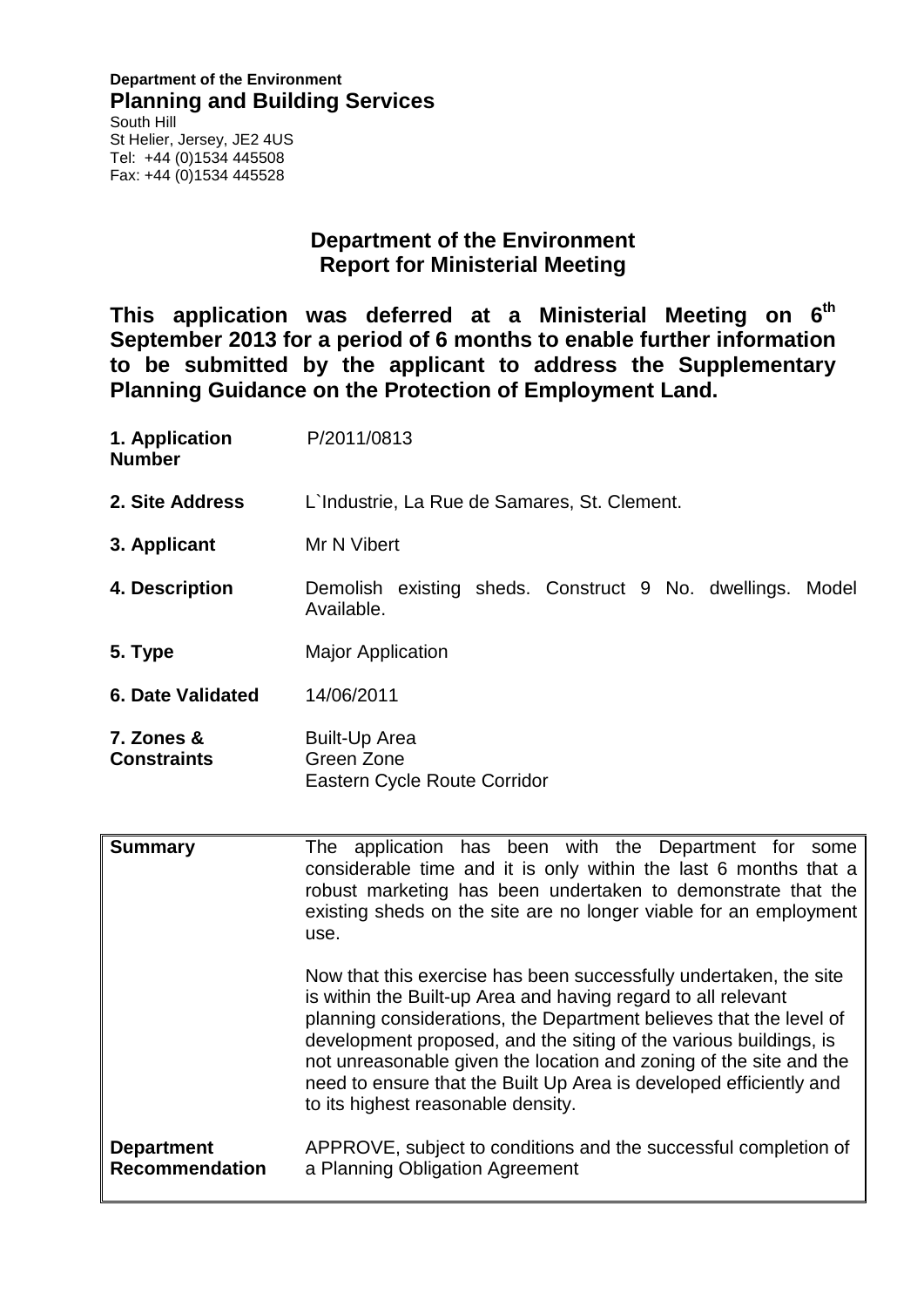#### **Department of the Environment Planning and Building Services** South Hill St Helier, Jersey, JE2 4US Tel: +44 (0)1534 445508 Fax: +44 (0)1534 445528

## **Department of the Environment Report for Ministerial Meeting**

**This application was deferred at a Ministerial Meeting on 6th September 2013 for a period of 6 months to enable further information to be submitted by the applicant to address the Supplementary Planning Guidance on the Protection of Employment Land.** 

| 1. Application<br><b>Number</b>  | P/2011/0813                                                                                                                                                                                                                                                            |  |
|----------------------------------|------------------------------------------------------------------------------------------------------------------------------------------------------------------------------------------------------------------------------------------------------------------------|--|
| 2. Site Address                  | L'Industrie, La Rue de Samares, St. Clement.                                                                                                                                                                                                                           |  |
| 3. Applicant                     | Mr N Vibert                                                                                                                                                                                                                                                            |  |
| 4. Description                   | Demolish existing sheds. Construct 9 No. dwellings. Model<br>Available.                                                                                                                                                                                                |  |
| 5. Type                          | <b>Major Application</b>                                                                                                                                                                                                                                               |  |
| <b>6. Date Validated</b>         | 14/06/2011                                                                                                                                                                                                                                                             |  |
| 7. Zones &<br><b>Constraints</b> | <b>Built-Up Area</b><br>Green Zone<br>Eastern Cycle Route Corridor                                                                                                                                                                                                     |  |
| <b>Summary</b>                   | The application has been with the Department for some<br>considerable time and it is only within the last 6 months that a<br>robust marketing has been undertaken to demonstrate that the<br>existing sheds on the site are no longer viable for an employment<br>use. |  |

Now that this exercise has been successfully undertaken, the site is within the Built-up Area and having regard to all relevant planning considerations, the Department believes that the level of development proposed, and the siting of the various buildings, is not unreasonable given the location and zoning of the site and the need to ensure that the Built Up Area is developed efficiently and to its highest reasonable density.

**Department Recommendation** APPROVE, subject to conditions and the successful completion of a Planning Obligation Agreement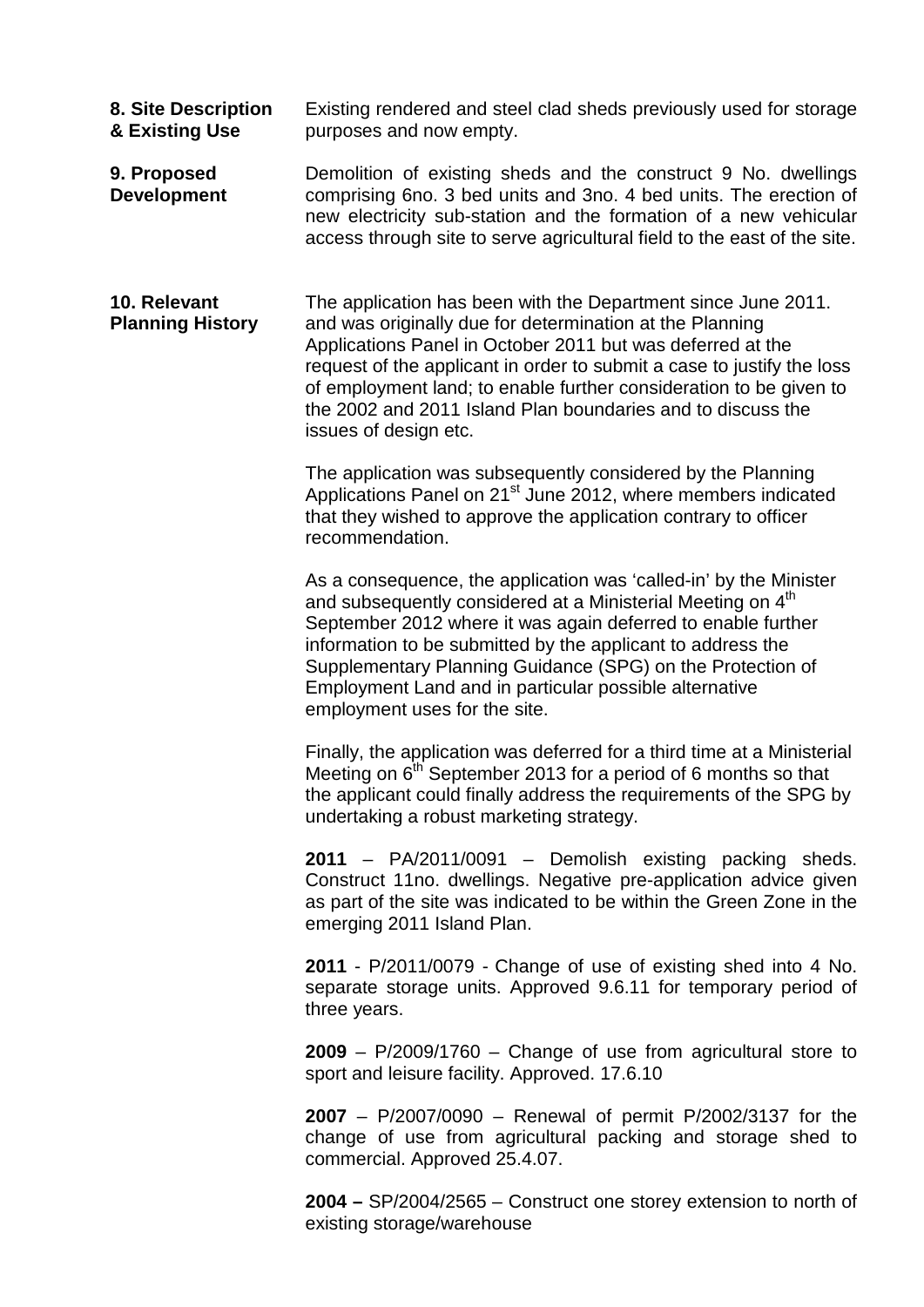- **8. Site Description & Existing Use** Existing rendered and steel clad sheds previously used for storage purposes and now empty.
- **9. Proposed Development** Demolition of existing sheds and the construct 9 No. dwellings comprising 6no. 3 bed units and 3no. 4 bed units. The erection of new electricity sub-station and the formation of a new vehicular access through site to serve agricultural field to the east of the site.
- **10. Relevant Planning History** The application has been with the Department since June 2011. and was originally due for determination at the Planning Applications Panel in October 2011 but was deferred at the request of the applicant in order to submit a case to justify the loss of employment land; to enable further consideration to be given to the 2002 and 2011 Island Plan boundaries and to discuss the issues of design etc.

The application was subsequently considered by the Planning Applications Panel on 21<sup>st</sup> June 2012, where members indicated that they wished to approve the application contrary to officer recommendation.

As a consequence, the application was 'called-in' by the Minister and subsequently considered at a Ministerial Meeting on 4<sup>th</sup> September 2012 where it was again deferred to enable further information to be submitted by the applicant to address the Supplementary Planning Guidance (SPG) on the Protection of Employment Land and in particular possible alternative employment uses for the site.

Finally, the application was deferred for a third time at a Ministerial Meeting on  $6<sup>th</sup>$  September 2013 for a period of 6 months so that the applicant could finally address the requirements of the SPG by undertaking a robust marketing strategy.

**2011** – PA/2011/0091 – Demolish existing packing sheds. Construct 11no. dwellings. Negative pre-application advice given as part of the site was indicated to be within the Green Zone in the emerging 2011 Island Plan.

**2011** - P/2011/0079 - Change of use of existing shed into 4 No. separate storage units. Approved 9.6.11 for temporary period of three years.

**2009** – P/2009/1760 – Change of use from agricultural store to sport and leisure facility. Approved. 17.6.10

**2007** – P/2007/0090 – Renewal of permit P/2002/3137 for the change of use from agricultural packing and storage shed to commercial. Approved 25.4.07.

**2004 –** SP/2004/2565 – Construct one storey extension to north of existing storage/warehouse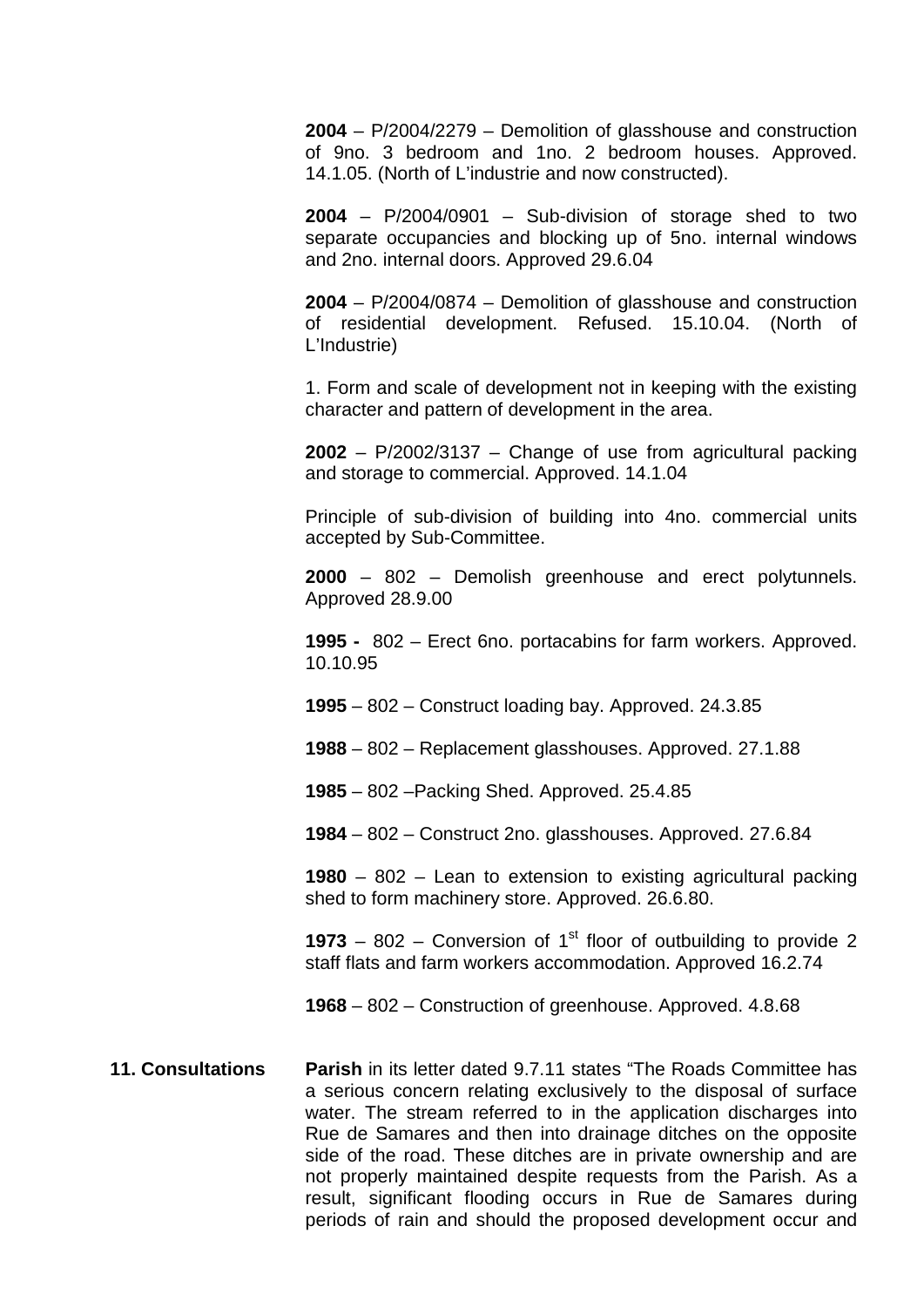**2004** – P/2004/2279 – Demolition of glasshouse and construction of 9no. 3 bedroom and 1no. 2 bedroom houses. Approved. 14.1.05. (North of L'industrie and now constructed).

**2004** – P/2004/0901 – Sub-division of storage shed to two separate occupancies and blocking up of 5no. internal windows and 2no. internal doors. Approved 29.6.04

**2004** – P/2004/0874 – Demolition of glasshouse and construction of residential development. Refused. 15.10.04. (North of L'Industrie)

1. Form and scale of development not in keeping with the existing character and pattern of development in the area.

**2002** – P/2002/3137 – Change of use from agricultural packing and storage to commercial. Approved. 14.1.04

Principle of sub-division of building into 4no. commercial units accepted by Sub-Committee.

**2000** – 802 – Demolish greenhouse and erect polytunnels. Approved 28.9.00

**1995 -** 802 – Erect 6no. portacabins for farm workers. Approved. 10.10.95

**1995** – 802 – Construct loading bay. Approved. 24.3.85

**1988** – 802 – Replacement glasshouses. Approved. 27.1.88

**1985** – 802 –Packing Shed. Approved. 25.4.85

**1984** – 802 – Construct 2no. glasshouses. Approved. 27.6.84

**1980** – 802 – Lean to extension to existing agricultural packing shed to form machinery store. Approved. 26.6.80.

**1973** – 802 – Conversion of 1<sup>st</sup> floor of outbuilding to provide 2 staff flats and farm workers accommodation. Approved 16.2.74

**1968** – 802 – Construction of greenhouse. Approved. 4.8.68

**11. Consultations Parish** in its letter dated 9.7.11 states "The Roads Committee has a serious concern relating exclusively to the disposal of surface water. The stream referred to in the application discharges into Rue de Samares and then into drainage ditches on the opposite side of the road. These ditches are in private ownership and are not properly maintained despite requests from the Parish. As a result, significant flooding occurs in Rue de Samares during periods of rain and should the proposed development occur and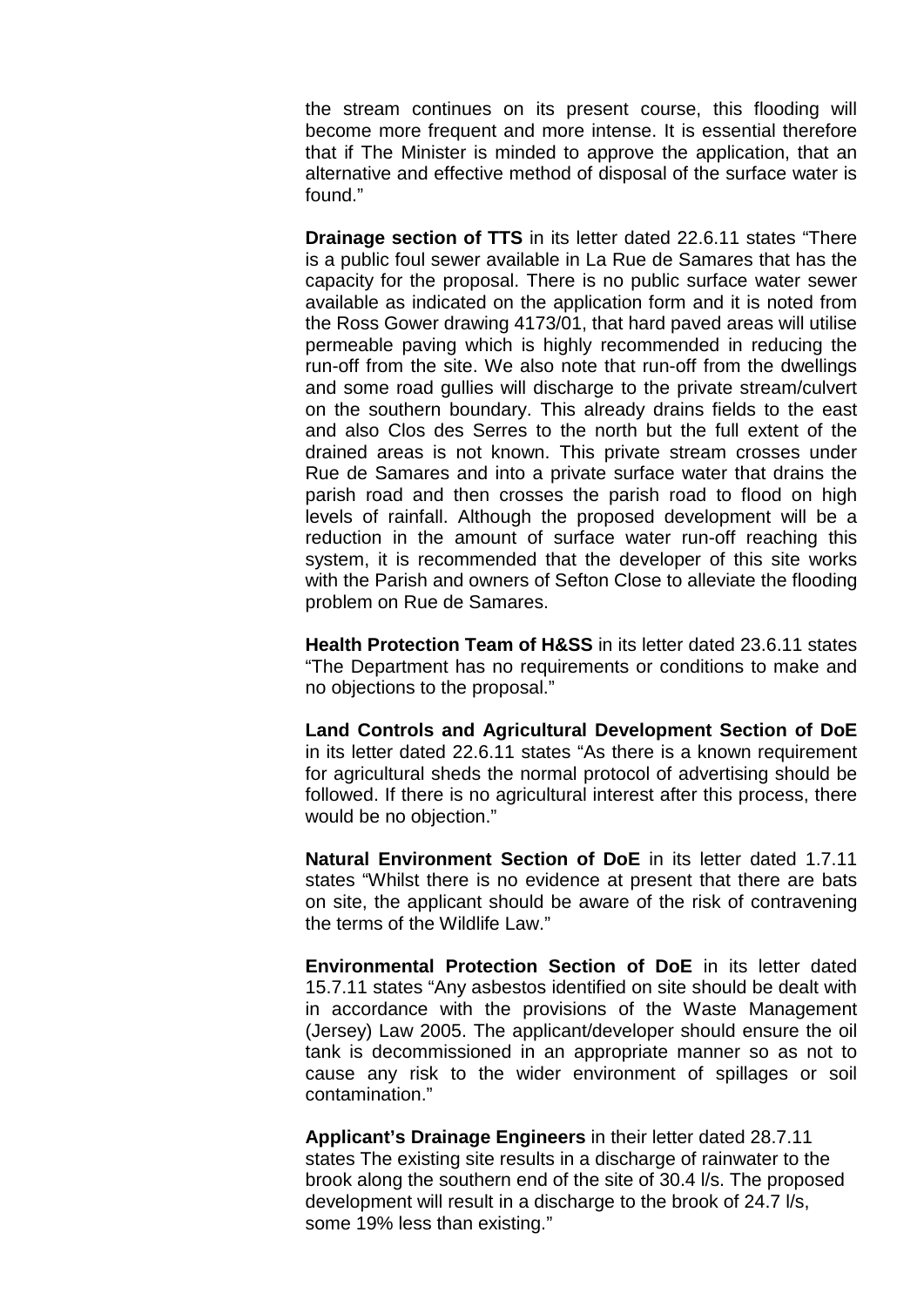the stream continues on its present course, this flooding will become more frequent and more intense. It is essential therefore that if The Minister is minded to approve the application, that an alternative and effective method of disposal of the surface water is found."

**Drainage section of TTS** in its letter dated 22.6.11 states "There is a public foul sewer available in La Rue de Samares that has the capacity for the proposal. There is no public surface water sewer available as indicated on the application form and it is noted from the Ross Gower drawing 4173/01, that hard paved areas will utilise permeable paving which is highly recommended in reducing the run-off from the site. We also note that run-off from the dwellings and some road gullies will discharge to the private stream/culvert on the southern boundary. This already drains fields to the east and also Clos des Serres to the north but the full extent of the drained areas is not known. This private stream crosses under Rue de Samares and into a private surface water that drains the parish road and then crosses the parish road to flood on high levels of rainfall. Although the proposed development will be a reduction in the amount of surface water run-off reaching this system, it is recommended that the developer of this site works with the Parish and owners of Sefton Close to alleviate the flooding problem on Rue de Samares.

**Health Protection Team of H&SS** in its letter dated 23.6.11 states "The Department has no requirements or conditions to make and no objections to the proposal."

**Land Controls and Agricultural Development Section of DoE** in its letter dated 22.6.11 states "As there is a known requirement for agricultural sheds the normal protocol of advertising should be followed. If there is no agricultural interest after this process, there would be no objection."

**Natural Environment Section of DoE** in its letter dated 1.7.11 states "Whilst there is no evidence at present that there are bats on site, the applicant should be aware of the risk of contravening the terms of the Wildlife Law."

**Environmental Protection Section of DoE** in its letter dated 15.7.11 states "Any asbestos identified on site should be dealt with in accordance with the provisions of the Waste Management (Jersey) Law 2005. The applicant/developer should ensure the oil tank is decommissioned in an appropriate manner so as not to cause any risk to the wider environment of spillages or soil contamination."

**Applicant's Drainage Engineers** in their letter dated 28.7.11 states The existing site results in a discharge of rainwater to the brook along the southern end of the site of 30.4 l/s. The proposed development will result in a discharge to the brook of 24.7 l/s, some 19% less than existing."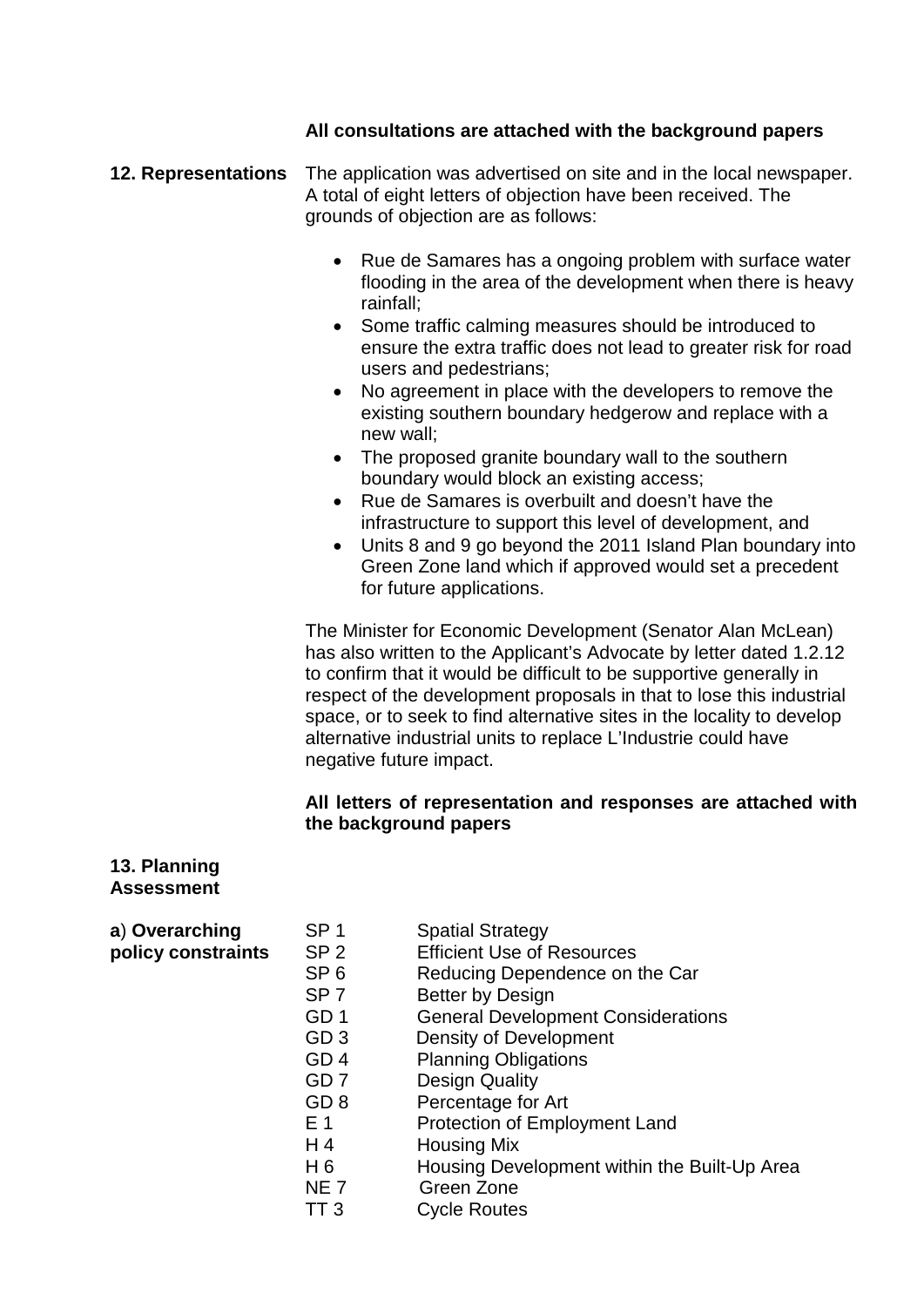### **All consultations are attached with the background papers**

- **12. Representations** The application was advertised on site and in the local newspaper. A total of eight letters of objection have been received. The grounds of objection are as follows:
	- Rue de Samares has a ongoing problem with surface water flooding in the area of the development when there is heavy rainfall;
	- Some traffic calming measures should be introduced to ensure the extra traffic does not lead to greater risk for road users and pedestrians;
	- No agreement in place with the developers to remove the existing southern boundary hedgerow and replace with a new wall;
	- The proposed granite boundary wall to the southern boundary would block an existing access;
	- Rue de Samares is overbuilt and doesn't have the infrastructure to support this level of development, and
	- Units 8 and 9 go beyond the 2011 Island Plan boundary into Green Zone land which if approved would set a precedent for future applications.

The Minister for Economic Development (Senator Alan McLean) has also written to the Applicant's Advocate by letter dated 1.2.12 to confirm that it would be difficult to be supportive generally in respect of the development proposals in that to lose this industrial space, or to seek to find alternative sites in the locality to develop alternative industrial units to replace L'Industrie could have negative future impact.

### **All letters of representation and responses are attached with the background papers**

#### **13. Planning Assessment**

| a) Overarching     | SP <sub>1</sub> | <b>Spatial Strategy</b>                      |
|--------------------|-----------------|----------------------------------------------|
| policy constraints | SP <sub>2</sub> | <b>Efficient Use of Resources</b>            |
|                    | SP <sub>6</sub> | Reducing Dependence on the Car               |
|                    | SP <sub>7</sub> | <b>Better by Design</b>                      |
|                    | GD <sub>1</sub> | <b>General Development Considerations</b>    |
|                    | GD <sub>3</sub> | Density of Development                       |
|                    | GD <sub>4</sub> | <b>Planning Obligations</b>                  |
|                    | GD <sub>7</sub> | <b>Design Quality</b>                        |
|                    | GD <sub>8</sub> | Percentage for Art                           |
|                    | E 1             | Protection of Employment Land                |
|                    | H <sub>4</sub>  | <b>Housing Mix</b>                           |
|                    | H <sub>6</sub>  | Housing Development within the Built-Up Area |
|                    | <b>NE7</b>      | Green Zone                                   |
|                    | TT 3            | <b>Cycle Routes</b>                          |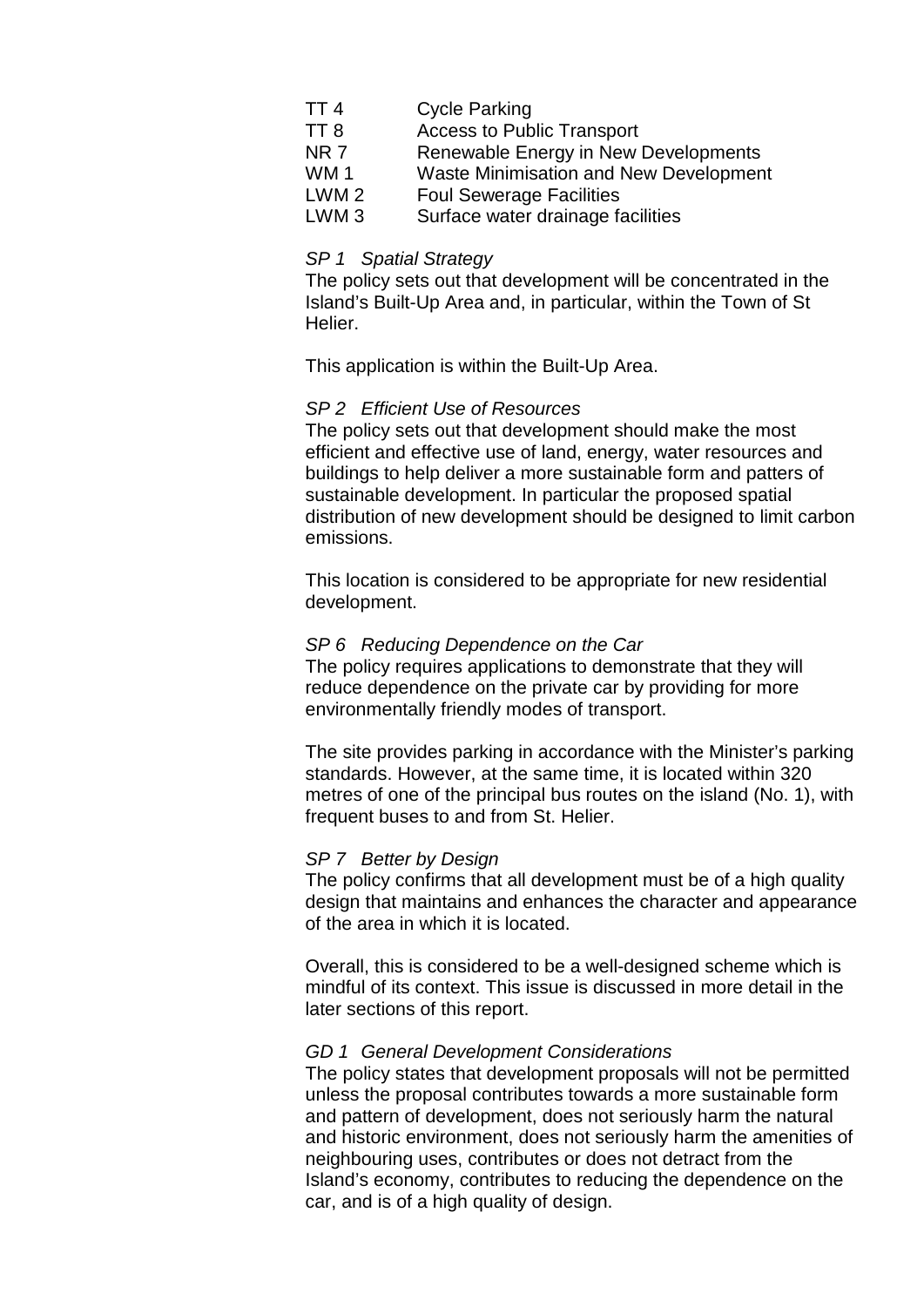| TT <sub>4</sub>  | <b>Cycle Parking</b>                          |
|------------------|-----------------------------------------------|
| TT <sub>8</sub>  | <b>Access to Public Transport</b>             |
| NR <sub>7</sub>  | Renewable Energy in New Developments          |
| <b>WM1</b>       | <b>Waste Minimisation and New Development</b> |
| LWM <sub>2</sub> | <b>Foul Sewerage Facilities</b>               |
| LWM <sub>3</sub> | Surface water drainage facilities             |

#### *SP 1 Spatial Strategy*

The policy sets out that development will be concentrated in the Island's Built-Up Area and, in particular, within the Town of St Helier.

This application is within the Built-Up Area.

#### *SP 2 Efficient Use of Resources*

The policy sets out that development should make the most efficient and effective use of land, energy, water resources and buildings to help deliver a more sustainable form and patters of sustainable development. In particular the proposed spatial distribution of new development should be designed to limit carbon emissions.

This location is considered to be appropriate for new residential development.

#### *SP 6 Reducing Dependence on the Car*

The policy requires applications to demonstrate that they will reduce dependence on the private car by providing for more environmentally friendly modes of transport.

The site provides parking in accordance with the Minister's parking standards. However, at the same time, it is located within 320 metres of one of the principal bus routes on the island (No. 1), with frequent buses to and from St. Helier.

#### *SP 7 Better by Design*

The policy confirms that all development must be of a high quality design that maintains and enhances the character and appearance of the area in which it is located.

Overall, this is considered to be a well-designed scheme which is mindful of its context. This issue is discussed in more detail in the later sections of this report.

#### *GD 1 General Development Considerations*

The policy states that development proposals will not be permitted unless the proposal contributes towards a more sustainable form and pattern of development, does not seriously harm the natural and historic environment, does not seriously harm the amenities of neighbouring uses, contributes or does not detract from the Island's economy, contributes to reducing the dependence on the car, and is of a high quality of design.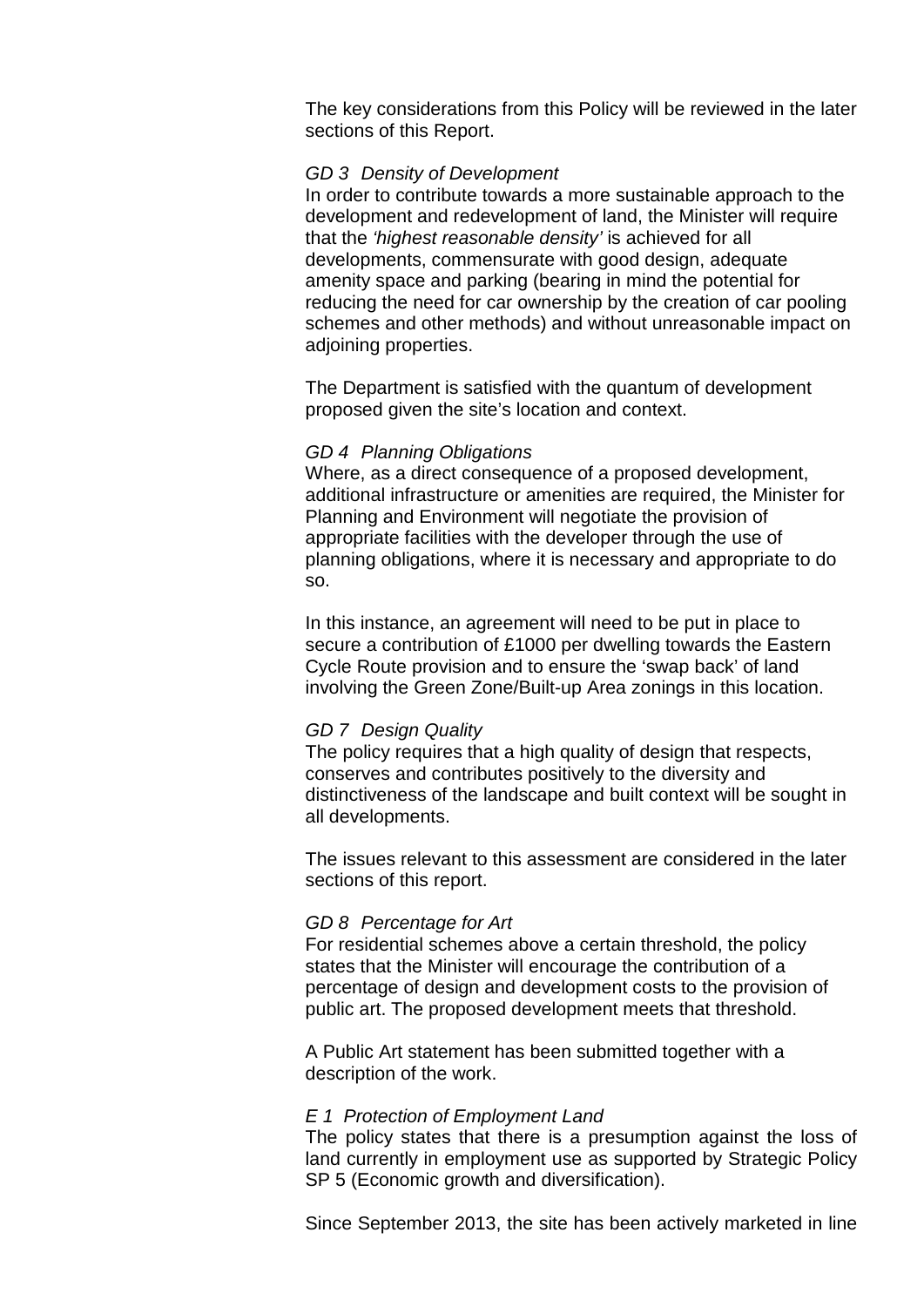The key considerations from this Policy will be reviewed in the later sections of this Report.

#### *GD 3 Density of Development*

In order to contribute towards a more sustainable approach to the development and redevelopment of land, the Minister will require that the *'highest reasonable density'* is achieved for all developments, commensurate with good design, adequate amenity space and parking (bearing in mind the potential for reducing the need for car ownership by the creation of car pooling schemes and other methods) and without unreasonable impact on adjoining properties.

The Department is satisfied with the quantum of development proposed given the site's location and context.

#### *GD 4 Planning Obligations*

Where, as a direct consequence of a proposed development, additional infrastructure or amenities are required, the Minister for Planning and Environment will negotiate the provision of appropriate facilities with the developer through the use of planning obligations, where it is necessary and appropriate to do so.

In this instance, an agreement will need to be put in place to secure a contribution of £1000 per dwelling towards the Eastern Cycle Route provision and to ensure the 'swap back' of land involving the Green Zone/Built-up Area zonings in this location.

#### *GD 7 Design Quality*

The policy requires that a high quality of design that respects, conserves and contributes positively to the diversity and distinctiveness of the landscape and built context will be sought in all developments.

The issues relevant to this assessment are considered in the later sections of this report.

#### *GD 8 Percentage for Art*

For residential schemes above a certain threshold, the policy states that the Minister will encourage the contribution of a percentage of design and development costs to the provision of public art. The proposed development meets that threshold.

A Public Art statement has been submitted together with a description of the work.

#### *E 1 Protection of Employment Land*

The policy states that there is a presumption against the loss of land currently in employment use as supported by Strategic Policy SP 5 (Economic growth and diversification).

Since September 2013, the site has been actively marketed in line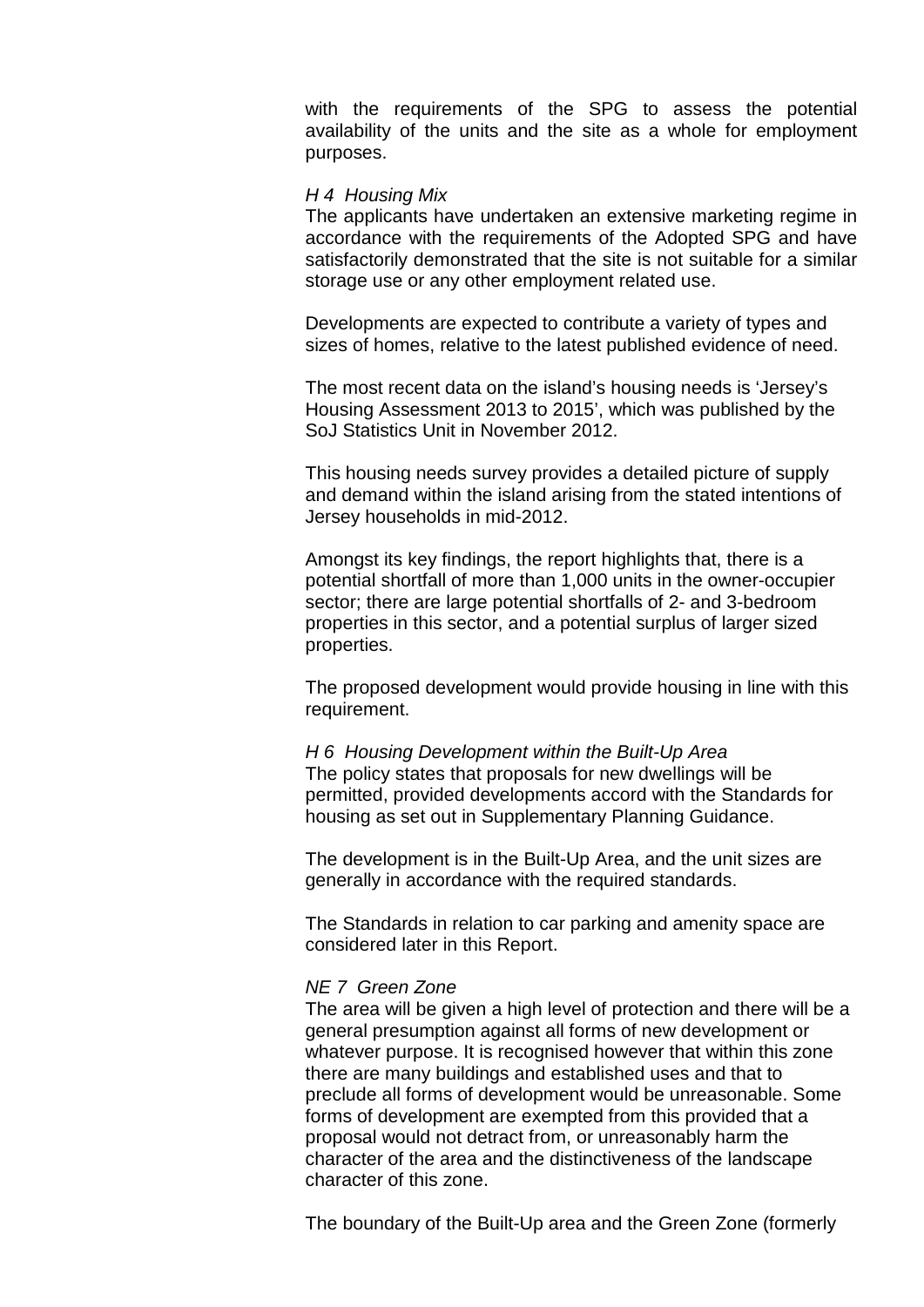with the requirements of the SPG to assess the potential availability of the units and the site as a whole for employment purposes.

#### *H 4 Housing Mix*

The applicants have undertaken an extensive marketing regime in accordance with the requirements of the Adopted SPG and have satisfactorily demonstrated that the site is not suitable for a similar storage use or any other employment related use.

Developments are expected to contribute a variety of types and sizes of homes, relative to the latest published evidence of need.

The most recent data on the island's housing needs is 'Jersey's Housing Assessment 2013 to 2015', which was published by the SoJ Statistics Unit in November 2012.

This housing needs survey provides a detailed picture of supply and demand within the island arising from the stated intentions of Jersey households in mid-2012.

Amongst its key findings, the report highlights that, there is a potential shortfall of more than 1,000 units in the owner-occupier sector; there are large potential shortfalls of 2- and 3-bedroom properties in this sector, and a potential surplus of larger sized properties.

The proposed development would provide housing in line with this requirement.

*H 6 Housing Development within the Built-Up Area* The policy states that proposals for new dwellings will be permitted, provided developments accord with the Standards for housing as set out in Supplementary Planning Guidance.

The development is in the Built-Up Area, and the unit sizes are generally in accordance with the required standards.

The Standards in relation to car parking and amenity space are considered later in this Report.

#### *NE 7 Green Zone*

The area will be given a high level of protection and there will be a general presumption against all forms of new development or whatever purpose. It is recognised however that within this zone there are many buildings and established uses and that to preclude all forms of development would be unreasonable. Some forms of development are exempted from this provided that a proposal would not detract from, or unreasonably harm the character of the area and the distinctiveness of the landscape character of this zone.

The boundary of the Built-Up area and the Green Zone (formerly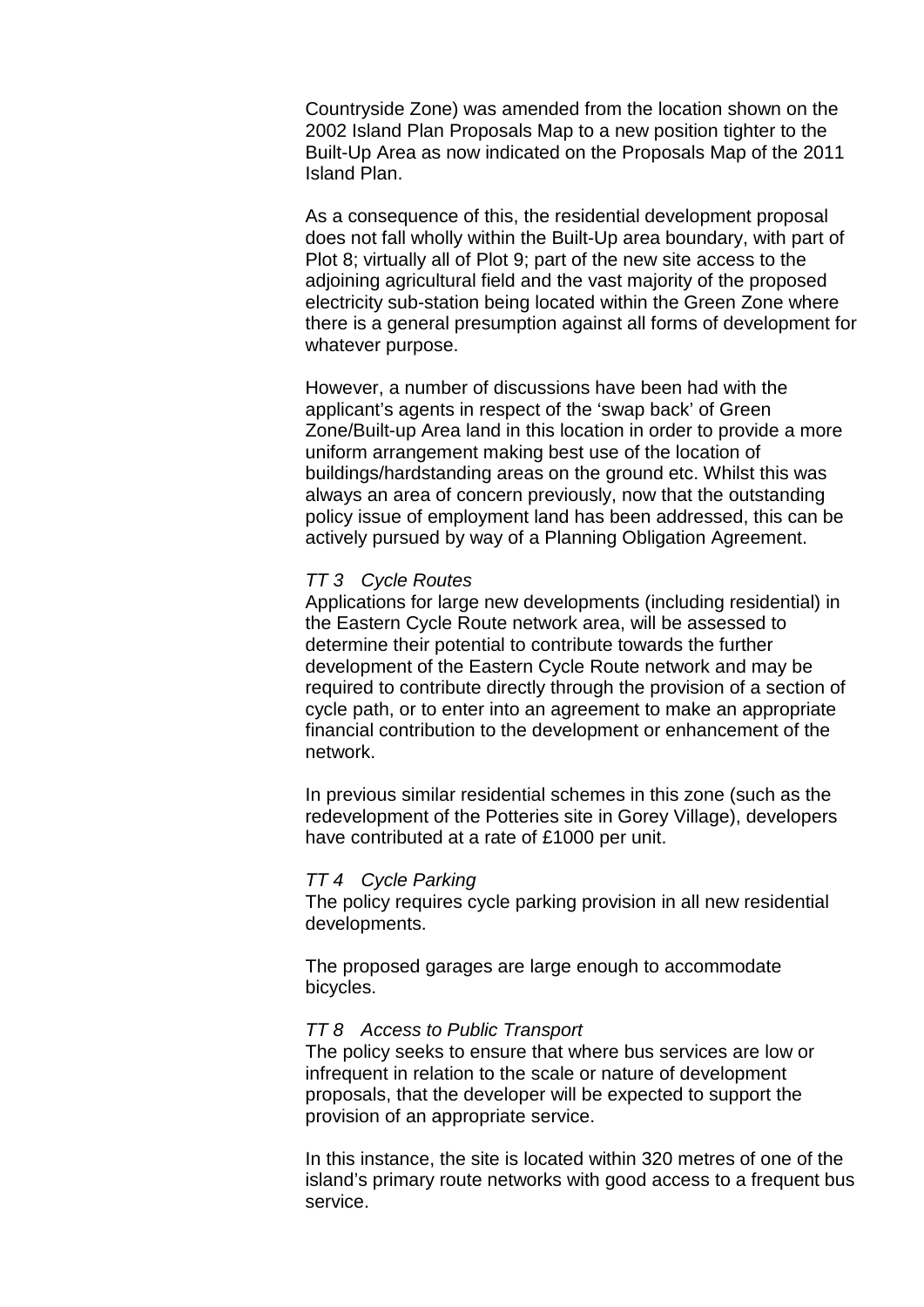Countryside Zone) was amended from the location shown on the 2002 Island Plan Proposals Map to a new position tighter to the Built-Up Area as now indicated on the Proposals Map of the 2011 Island Plan.

As a consequence of this, the residential development proposal does not fall wholly within the Built-Up area boundary, with part of Plot 8; virtually all of Plot 9; part of the new site access to the adjoining agricultural field and the vast majority of the proposed electricity sub-station being located within the Green Zone where there is a general presumption against all forms of development for whatever purpose.

However, a number of discussions have been had with the applicant's agents in respect of the 'swap back' of Green Zone/Built-up Area land in this location in order to provide a more uniform arrangement making best use of the location of buildings/hardstanding areas on the ground etc. Whilst this was always an area of concern previously, now that the outstanding policy issue of employment land has been addressed, this can be actively pursued by way of a Planning Obligation Agreement.

#### *TT 3 Cycle Routes*

Applications for large new developments (including residential) in the Eastern Cycle Route network area, will be assessed to determine their potential to contribute towards the further development of the Eastern Cycle Route network and may be required to contribute directly through the provision of a section of cycle path, or to enter into an agreement to make an appropriate financial contribution to the development or enhancement of the network.

In previous similar residential schemes in this zone (such as the redevelopment of the Potteries site in Gorey Village), developers have contributed at a rate of £1000 per unit.

#### *TT 4 Cycle Parking*

The policy requires cycle parking provision in all new residential developments.

The proposed garages are large enough to accommodate bicycles.

#### *TT 8 Access to Public Transport*

The policy seeks to ensure that where bus services are low or infrequent in relation to the scale or nature of development proposals, that the developer will be expected to support the provision of an appropriate service.

In this instance, the site is located within 320 metres of one of the island's primary route networks with good access to a frequent bus service.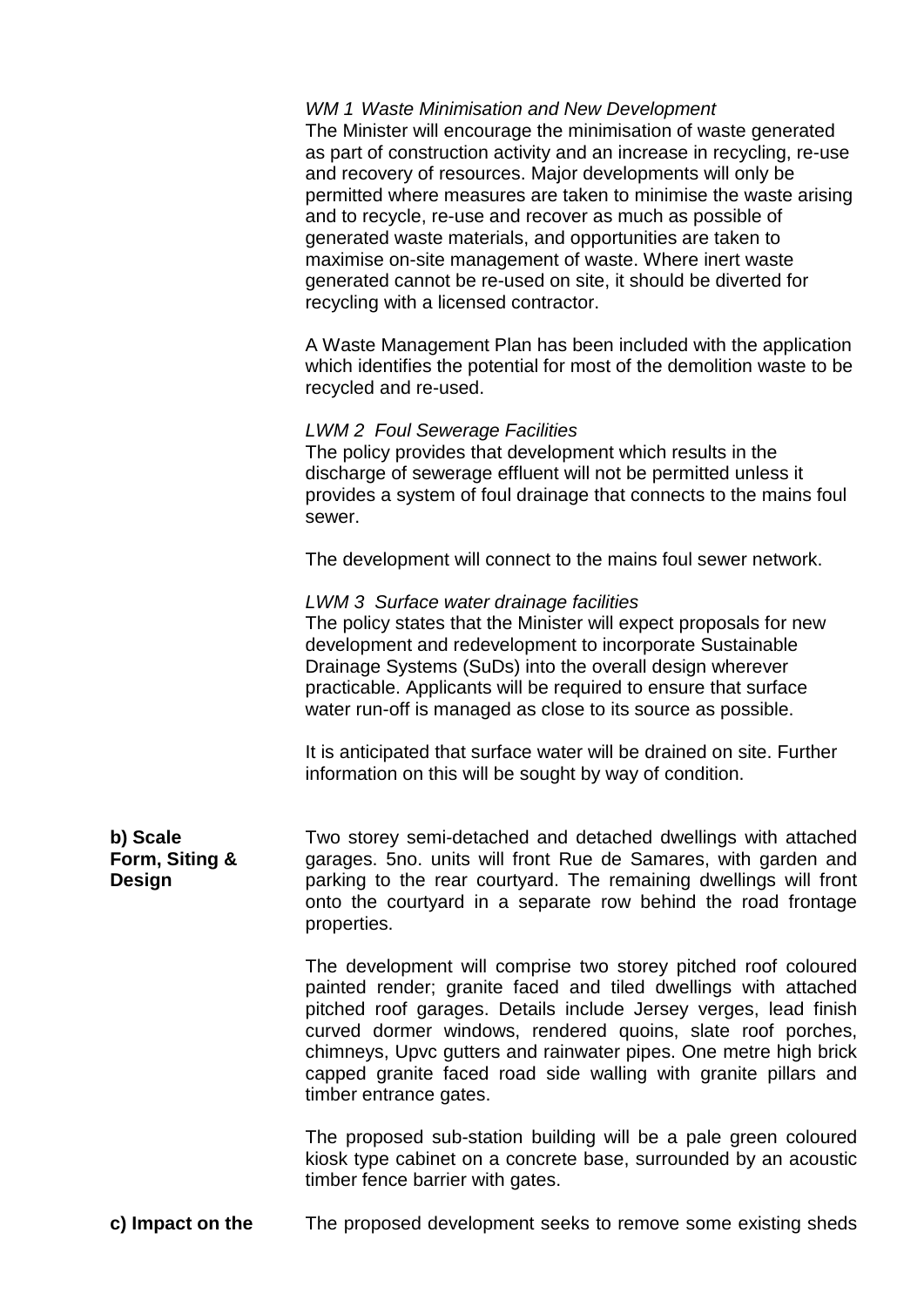| <b>WM 1 Waste Minimisation and New Development</b> |
|----------------------------------------------------|
|                                                    |

The Minister will encourage the minimisation of waste generated as part of construction activity and an increase in recycling, re-use and recovery of resources. Major developments will only be permitted where measures are taken to minimise the waste arising and to recycle, re-use and recover as much as possible of generated waste materials, and opportunities are taken to maximise on-site management of waste. Where inert waste generated cannot be re-used on site, it should be diverted for recycling with a licensed contractor.

A Waste Management Plan has been included with the application which identifies the potential for most of the demolition waste to be recycled and re-used.

#### *LWM 2 Foul Sewerage Facilities*

The policy provides that development which results in the discharge of sewerage effluent will not be permitted unless it provides a system of foul drainage that connects to the mains foul sewer.

The development will connect to the mains foul sewer network.

#### *LWM 3 Surface water drainage facilities*

The policy states that the Minister will expect proposals for new development and redevelopment to incorporate Sustainable Drainage Systems (SuDs) into the overall design wherever practicable. Applicants will be required to ensure that surface water run-off is managed as close to its source as possible.

It is anticipated that surface water will be drained on site. Further information on this will be sought by way of condition.

**b) Scale Form, Siting & Design** Two storey semi-detached and detached dwellings with attached garages. 5no. units will front Rue de Samares, with garden and parking to the rear courtyard. The remaining dwellings will front onto the courtyard in a separate row behind the road frontage properties.

> The development will comprise two storey pitched roof coloured painted render; granite faced and tiled dwellings with attached pitched roof garages. Details include Jersey verges, lead finish curved dormer windows, rendered quoins, slate roof porches, chimneys, Upvc gutters and rainwater pipes. One metre high brick capped granite faced road side walling with granite pillars and timber entrance gates.

The proposed sub-station building will be a pale green coloured kiosk type cabinet on a concrete base, surrounded by an acoustic timber fence barrier with gates.

**c) Impact on the** The proposed development seeks to remove some existing sheds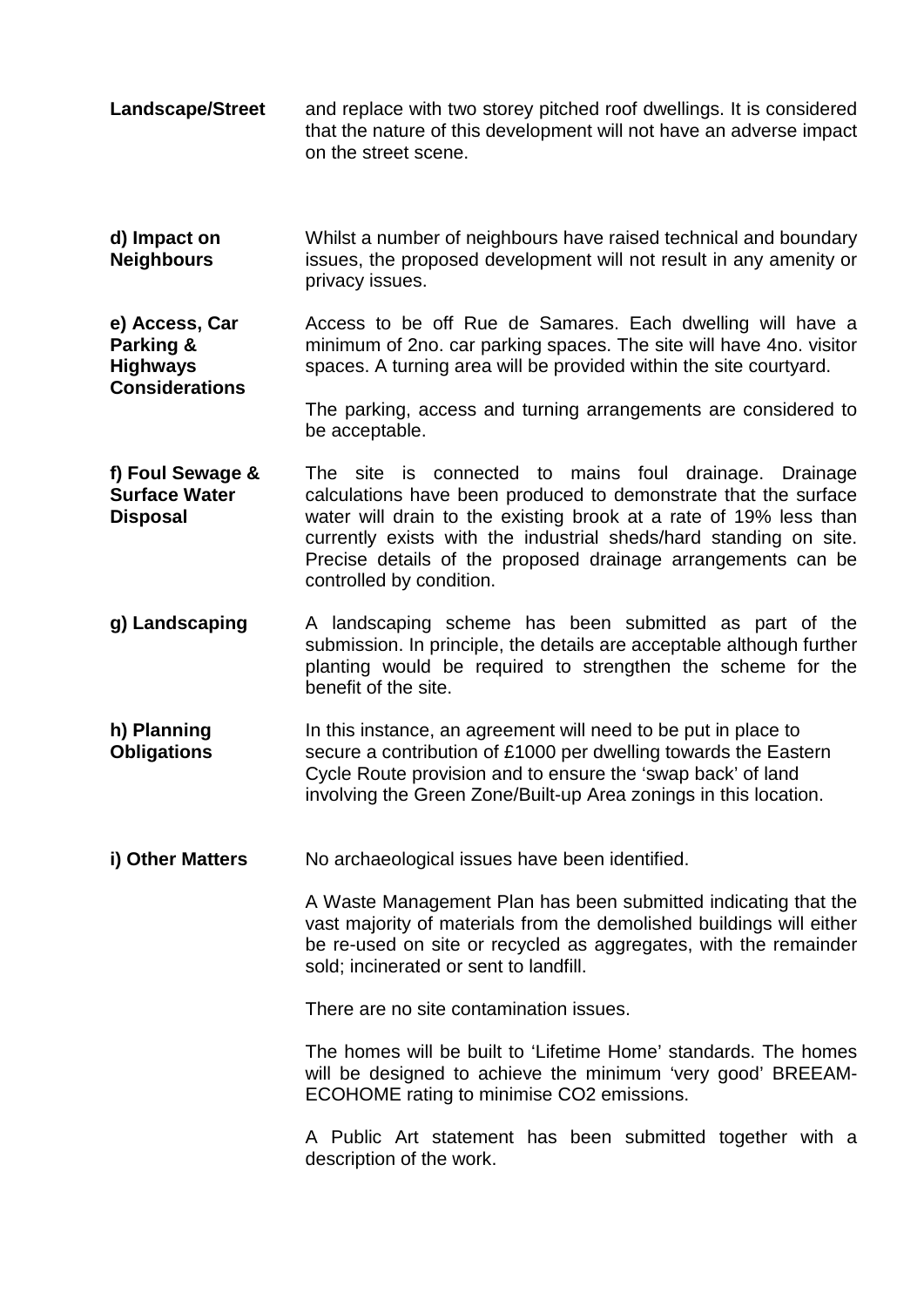- **Landscape/Street** and replace with two storey pitched roof dwellings. It is considered that the nature of this development will not have an adverse impact on the street scene.
- **d) Impact on Neighbours** Whilst a number of neighbours have raised technical and boundary issues, the proposed development will not result in any amenity or privacy issues.

**e) Access, Car Parking & Highways Considerations** Access to be off Rue de Samares. Each dwelling will have a minimum of 2no. car parking spaces. The site will have 4no. visitor spaces. A turning area will be provided within the site courtyard.

The parking, access and turning arrangements are considered to be acceptable.

- **f) Foul Sewage & Surface Water Disposal** The site is connected to mains foul drainage. Drainage calculations have been produced to demonstrate that the surface water will drain to the existing brook at a rate of 19% less than currently exists with the industrial sheds/hard standing on site. Precise details of the proposed drainage arrangements can be controlled by condition.
- **g) Landscaping** A landscaping scheme has been submitted as part of the submission. In principle, the details are acceptable although further planting would be required to strengthen the scheme for the benefit of the site.
- **h) Planning Obligations** In this instance, an agreement will need to be put in place to secure a contribution of £1000 per dwelling towards the Eastern Cycle Route provision and to ensure the 'swap back' of land involving the Green Zone/Built-up Area zonings in this location.
- **i) Other Matters** No archaeological issues have been identified.

A Waste Management Plan has been submitted indicating that the vast majority of materials from the demolished buildings will either be re-used on site or recycled as aggregates, with the remainder sold; incinerated or sent to landfill.

There are no site contamination issues.

The homes will be built to 'Lifetime Home' standards. The homes will be designed to achieve the minimum 'very good' BREEAM-ECOHOME rating to minimise CO2 emissions.

A Public Art statement has been submitted together with a description of the work.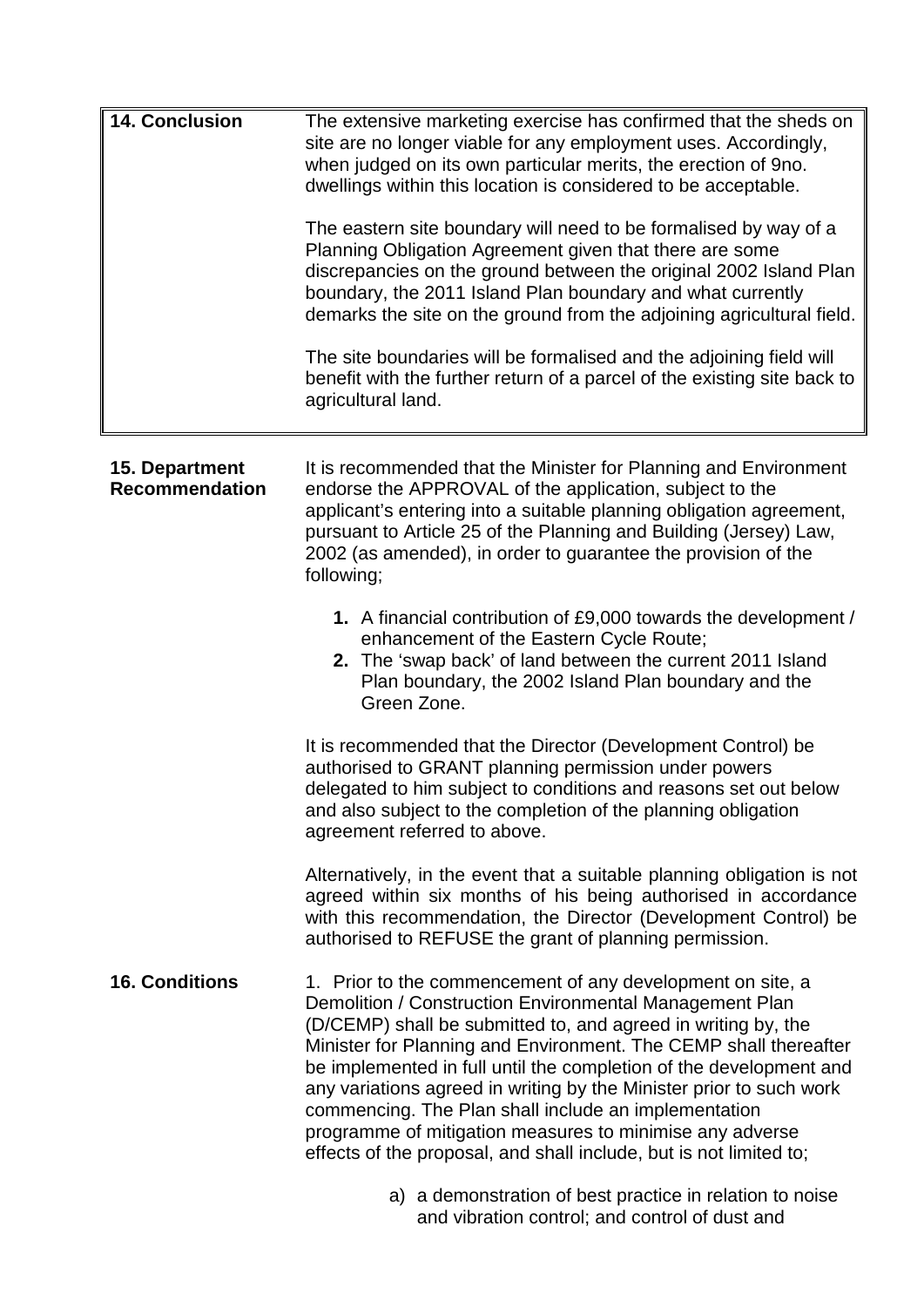| <b>14. Conclusion</b>                   | The extensive marketing exercise has confirmed that the sheds on<br>site are no longer viable for any employment uses. Accordingly,<br>when judged on its own particular merits, the erection of 9no.<br>dwellings within this location is considered to be acceptable.<br>The eastern site boundary will need to be formalised by way of a<br>Planning Obligation Agreement given that there are some<br>discrepancies on the ground between the original 2002 Island Plan<br>boundary, the 2011 Island Plan boundary and what currently<br>demarks the site on the ground from the adjoining agricultural field.<br>The site boundaries will be formalised and the adjoining field will<br>benefit with the further return of a parcel of the existing site back to<br>agricultural land. |
|-----------------------------------------|---------------------------------------------------------------------------------------------------------------------------------------------------------------------------------------------------------------------------------------------------------------------------------------------------------------------------------------------------------------------------------------------------------------------------------------------------------------------------------------------------------------------------------------------------------------------------------------------------------------------------------------------------------------------------------------------------------------------------------------------------------------------------------------------|
| 15. Department<br><b>Recommendation</b> | It is recommended that the Minister for Planning and Environment<br>endorse the APPROVAL of the application, subject to the<br>applicant's entering into a suitable planning obligation agreement,<br>pursuant to Article 25 of the Planning and Building (Jersey) Law,<br>2002 (as amended), in order to guarantee the provision of the<br>following;                                                                                                                                                                                                                                                                                                                                                                                                                                      |
|                                         | 1. A financial contribution of £9,000 towards the development /<br>enhancement of the Eastern Cycle Route;<br>2. The 'swap back' of land between the current 2011 Island<br>Plan boundary, the 2002 Island Plan boundary and the<br>Green Zone.                                                                                                                                                                                                                                                                                                                                                                                                                                                                                                                                             |
|                                         | It is recommended that the Director (Development Control) be<br>authorised to GRANT planning permission under powers<br>delegated to him subject to conditions and reasons set out below<br>and also subject to the completion of the planning obligation<br>agreement referred to above.                                                                                                                                                                                                                                                                                                                                                                                                                                                                                                   |
|                                         | Alternatively, in the event that a suitable planning obligation is not<br>agreed within six months of his being authorised in accordance<br>with this recommendation, the Director (Development Control) be<br>authorised to REFUSE the grant of planning permission.                                                                                                                                                                                                                                                                                                                                                                                                                                                                                                                       |
| <b>16. Conditions</b>                   | 1. Prior to the commencement of any development on site, a<br>Demolition / Construction Environmental Management Plan<br>(D/CEMP) shall be submitted to, and agreed in writing by, the<br>Minister for Planning and Environment. The CEMP shall thereafter<br>be implemented in full until the completion of the development and<br>any variations agreed in writing by the Minister prior to such work<br>commencing. The Plan shall include an implementation<br>programme of mitigation measures to minimise any adverse<br>effects of the proposal, and shall include, but is not limited to;                                                                                                                                                                                           |
|                                         | a) a demonstration of best practice in relation to noise                                                                                                                                                                                                                                                                                                                                                                                                                                                                                                                                                                                                                                                                                                                                    |

a) a demonstration of best practice in relation to noise and vibration control; and control of dust and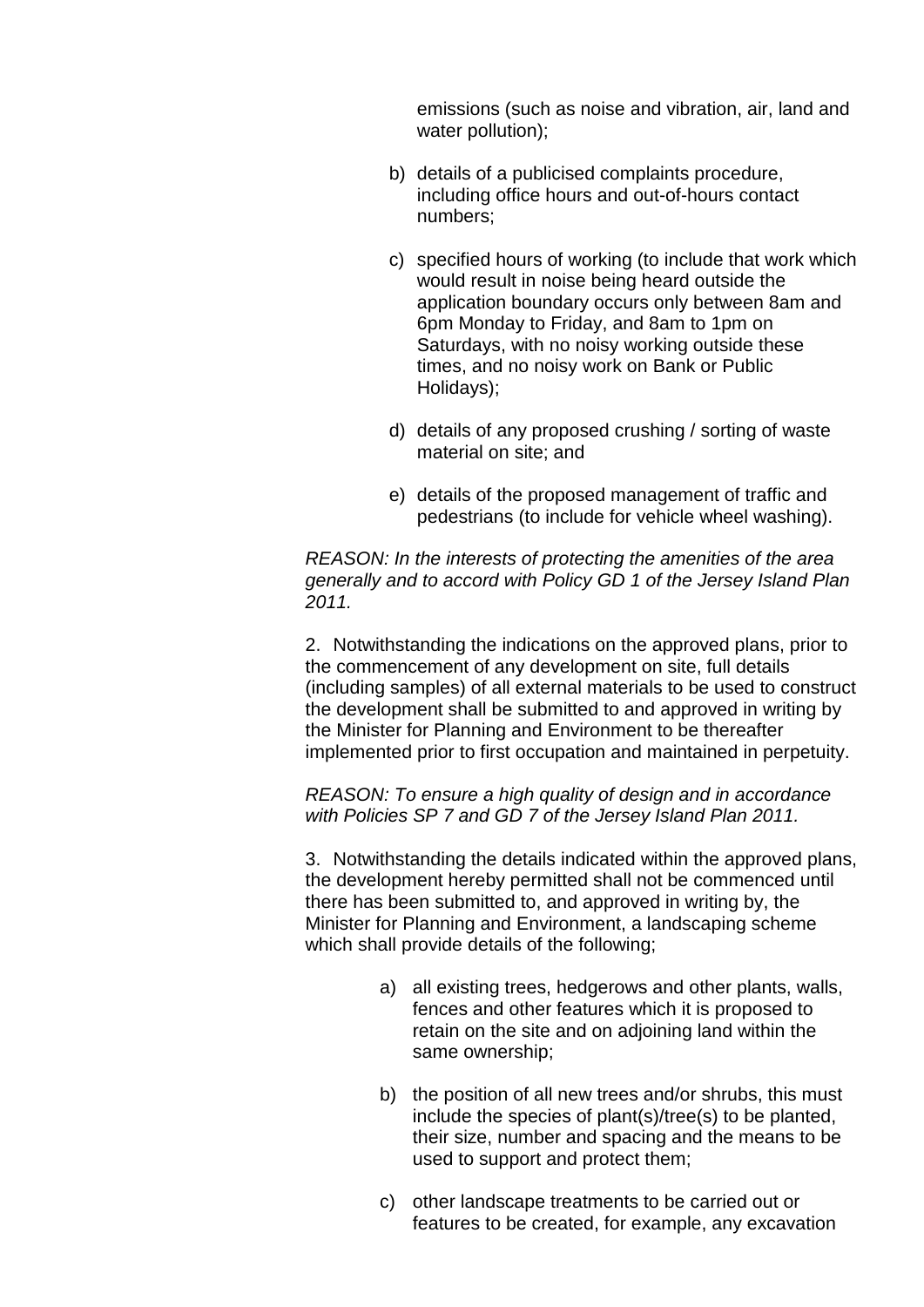emissions (such as noise and vibration, air, land and water pollution);

- b) details of a publicised complaints procedure, including office hours and out-of-hours contact numbers;
- c) specified hours of working (to include that work which would result in noise being heard outside the application boundary occurs only between 8am and 6pm Monday to Friday, and 8am to 1pm on Saturdays, with no noisy working outside these times, and no noisy work on Bank or Public Holidays);
- d) details of any proposed crushing / sorting of waste material on site; and
- e) details of the proposed management of traffic and pedestrians (to include for vehicle wheel washing).

*REASON: In the interests of protecting the amenities of the area generally and to accord with Policy GD 1 of the Jersey Island Plan 2011.*

2. Notwithstanding the indications on the approved plans, prior to the commencement of any development on site, full details (including samples) of all external materials to be used to construct the development shall be submitted to and approved in writing by the Minister for Planning and Environment to be thereafter implemented prior to first occupation and maintained in perpetuity.

*REASON: To ensure a high quality of design and in accordance with Policies SP 7 and GD 7 of the Jersey Island Plan 2011.*

3. Notwithstanding the details indicated within the approved plans, the development hereby permitted shall not be commenced until there has been submitted to, and approved in writing by, the Minister for Planning and Environment, a landscaping scheme which shall provide details of the following;

- a) all existing trees, hedgerows and other plants, walls, fences and other features which it is proposed to retain on the site and on adjoining land within the same ownership;
- b) the position of all new trees and/or shrubs, this must include the species of plant(s)/tree(s) to be planted, their size, number and spacing and the means to be used to support and protect them;
- c) other landscape treatments to be carried out or features to be created, for example, any excavation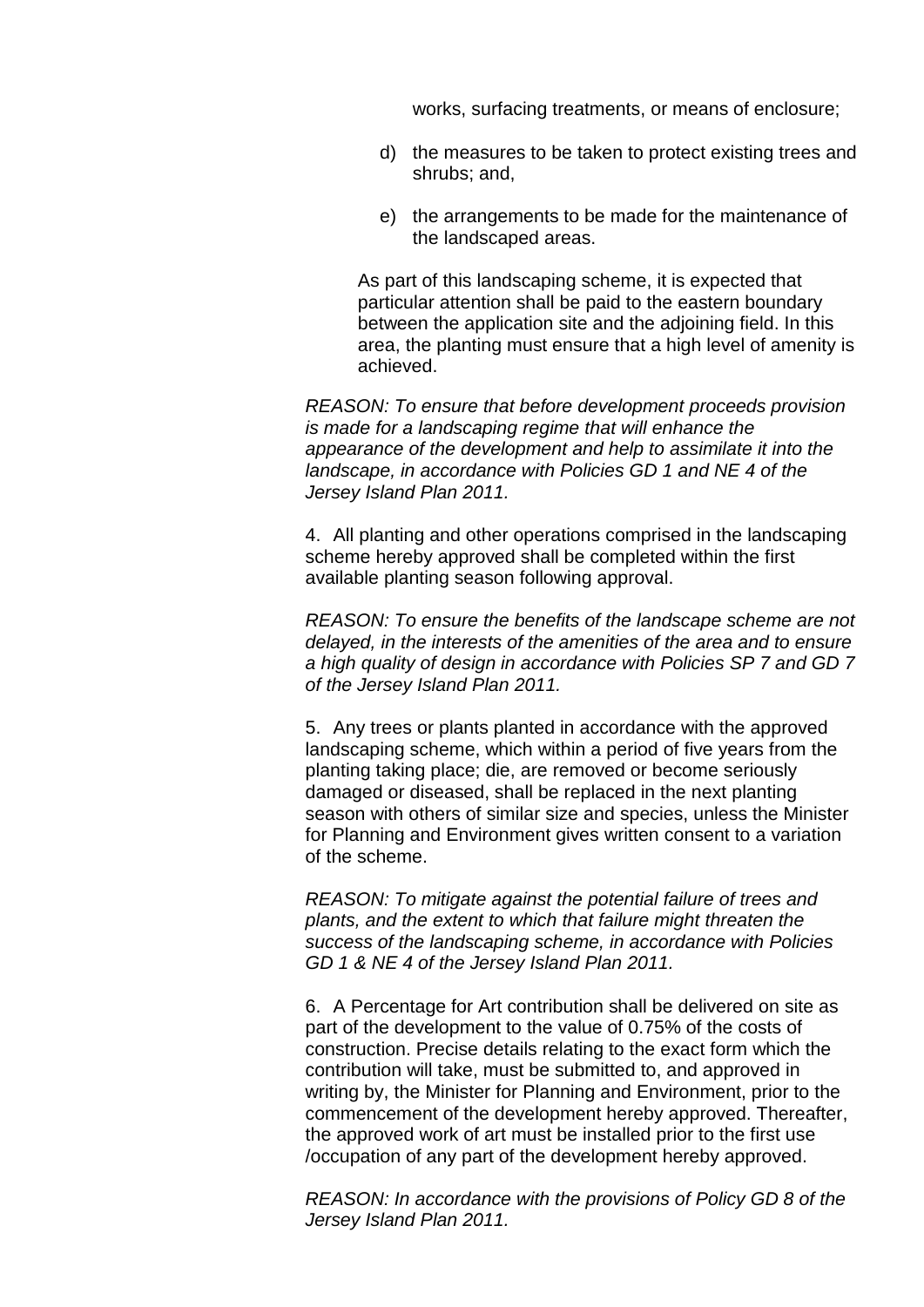works, surfacing treatments, or means of enclosure;

- d) the measures to be taken to protect existing trees and shrubs; and,
- e) the arrangements to be made for the maintenance of the landscaped areas.

As part of this landscaping scheme, it is expected that particular attention shall be paid to the eastern boundary between the application site and the adjoining field. In this area, the planting must ensure that a high level of amenity is achieved.

*REASON: To ensure that before development proceeds provision is made for a landscaping regime that will enhance the appearance of the development and help to assimilate it into the landscape, in accordance with Policies GD 1 and NE 4 of the Jersey Island Plan 2011.*

4. All planting and other operations comprised in the landscaping scheme hereby approved shall be completed within the first available planting season following approval.

*REASON: To ensure the benefits of the landscape scheme are not delayed, in the interests of the amenities of the area and to ensure a high quality of design in accordance with Policies SP 7 and GD 7 of the Jersey Island Plan 2011.*

5. Any trees or plants planted in accordance with the approved landscaping scheme, which within a period of five years from the planting taking place; die, are removed or become seriously damaged or diseased, shall be replaced in the next planting season with others of similar size and species, unless the Minister for Planning and Environment gives written consent to a variation of the scheme.

*REASON: To mitigate against the potential failure of trees and plants, and the extent to which that failure might threaten the success of the landscaping scheme, in accordance with Policies GD 1 & NE 4 of the Jersey Island Plan 2011.*

6. A Percentage for Art contribution shall be delivered on site as part of the development to the value of 0.75% of the costs of construction. Precise details relating to the exact form which the contribution will take, must be submitted to, and approved in writing by, the Minister for Planning and Environment, prior to the commencement of the development hereby approved. Thereafter, the approved work of art must be installed prior to the first use /occupation of any part of the development hereby approved.

*REASON: In accordance with the provisions of Policy GD 8 of the Jersey Island Plan 2011.*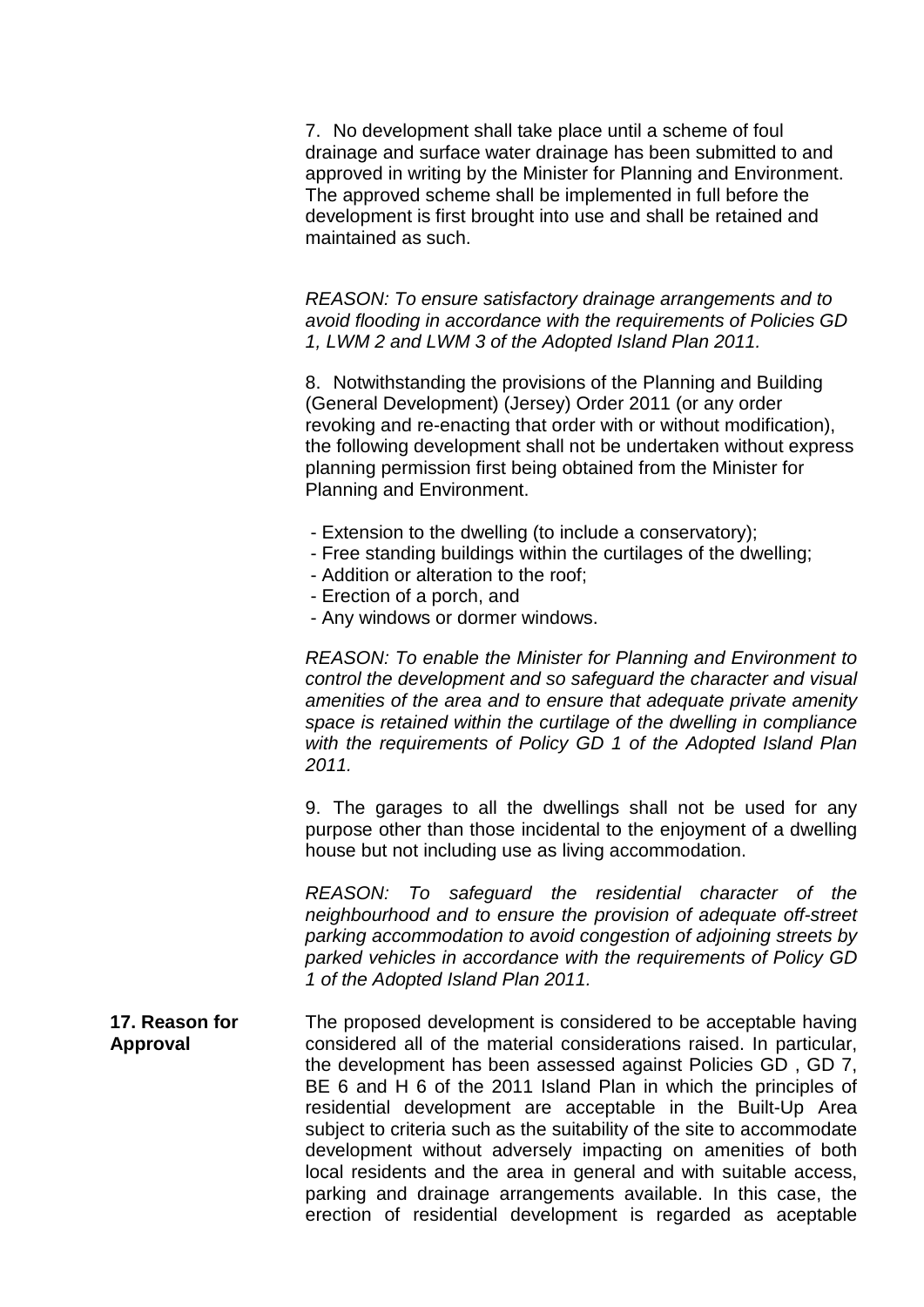7. No development shall take place until a scheme of foul drainage and surface water drainage has been submitted to and approved in writing by the Minister for Planning and Environment. The approved scheme shall be implemented in full before the development is first brought into use and shall be retained and maintained as such.

*REASON: To ensure satisfactory drainage arrangements and to avoid flooding in accordance with the requirements of Policies GD 1, LWM 2 and LWM 3 of the Adopted Island Plan 2011.*

8. Notwithstanding the provisions of the Planning and Building (General Development) (Jersey) Order 2011 (or any order revoking and re-enacting that order with or without modification), the following development shall not be undertaken without express planning permission first being obtained from the Minister for Planning and Environment.

- Extension to the dwelling (to include a conservatory);
- Free standing buildings within the curtilages of the dwelling;
- Addition or alteration to the roof;
- Erection of a porch, and
- Any windows or dormer windows.

*REASON: To enable the Minister for Planning and Environment to control the development and so safeguard the character and visual amenities of the area and to ensure that adequate private amenity space is retained within the curtilage of the dwelling in compliance with the requirements of Policy GD 1 of the Adopted Island Plan 2011.* 

9. The garages to all the dwellings shall not be used for any purpose other than those incidental to the enjoyment of a dwelling house but not including use as living accommodation.

*REASON: To safeguard the residential character of the neighbourhood and to ensure the provision of adequate off-street parking accommodation to avoid congestion of adjoining streets by parked vehicles in accordance with the requirements of Policy GD 1 of the Adopted Island Plan 2011.*

**17. Reason for Approval** The proposed development is considered to be acceptable having considered all of the material considerations raised. In particular, the development has been assessed against Policies GD , GD 7, BE 6 and H 6 of the 2011 Island Plan in which the principles of residential development are acceptable in the Built-Up Area subject to criteria such as the suitability of the site to accommodate development without adversely impacting on amenities of both local residents and the area in general and with suitable access, parking and drainage arrangements available. In this case, the erection of residential development is regarded as aceptable